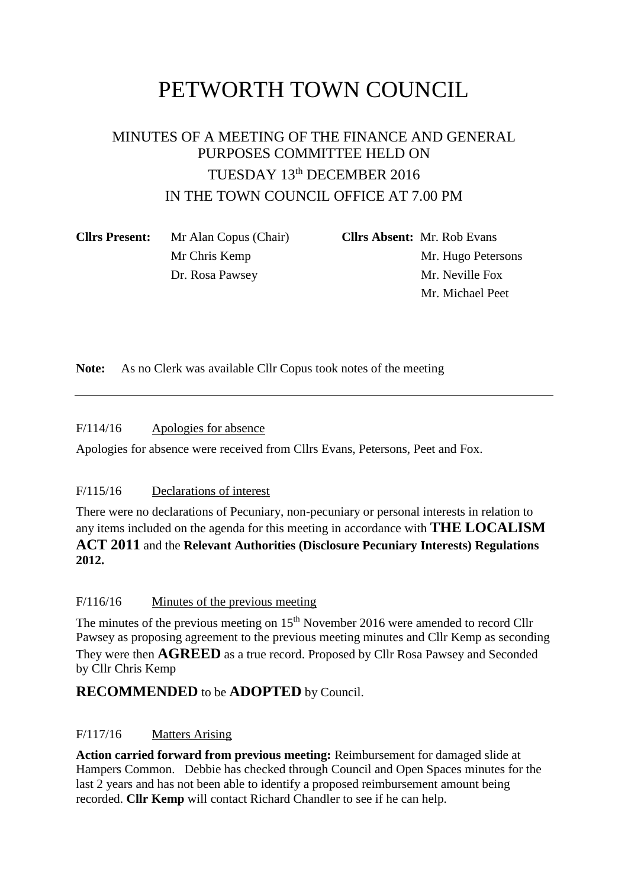# PETWORTH TOWN COUNCIL

## MINUTES OF A MEETING OF THE FINANCE AND GENERAL PURPOSES COMMITTEE HELD ON TUESDAY 13th DECEMBER 2016 IN THE TOWN COUNCIL OFFICE AT 7.00 PM

| <b>Clirs Present:</b> | Mr Alan Copus (Chair) | <b>Cllrs Absent:</b> Mr. Rob Evans |
|-----------------------|-----------------------|------------------------------------|
|                       | Mr Chris Kemp         | Mr. Hugo Petersons                 |
|                       | Dr. Rosa Pawsey       | Mr. Neville Fox                    |
|                       |                       | Mr. Michael Peet                   |

**Note:** As no Clerk was available Cllr Copus took notes of the meeting

F/114/16 Apologies for absence

Apologies for absence were received from Cllrs Evans, Petersons, Peet and Fox.

## F/115/16 Declarations of interest

There were no declarations of Pecuniary, non-pecuniary or personal interests in relation to any items included on the agenda for this meeting in accordance with **THE LOCALISM ACT 2011** and the **Relevant Authorities (Disclosure Pecuniary Interests) Regulations 2012.**

#### F/116/16 Minutes of the previous meeting

The minutes of the previous meeting on  $15<sup>th</sup>$  November 2016 were amended to record Cllr Pawsey as proposing agreement to the previous meeting minutes and Cllr Kemp as seconding They were then **AGREED** as a true record. Proposed by Cllr Rosa Pawsey and Seconded by Cllr Chris Kemp

## **RECOMMENDED** to be **ADOPTED** by Council.

## F/117/16 Matters Arising

**Action carried forward from previous meeting:** Reimbursement for damaged slide at Hampers Common. Debbie has checked through Council and Open Spaces minutes for the last 2 years and has not been able to identify a proposed reimbursement amount being recorded. **Cllr Kemp** will contact Richard Chandler to see if he can help.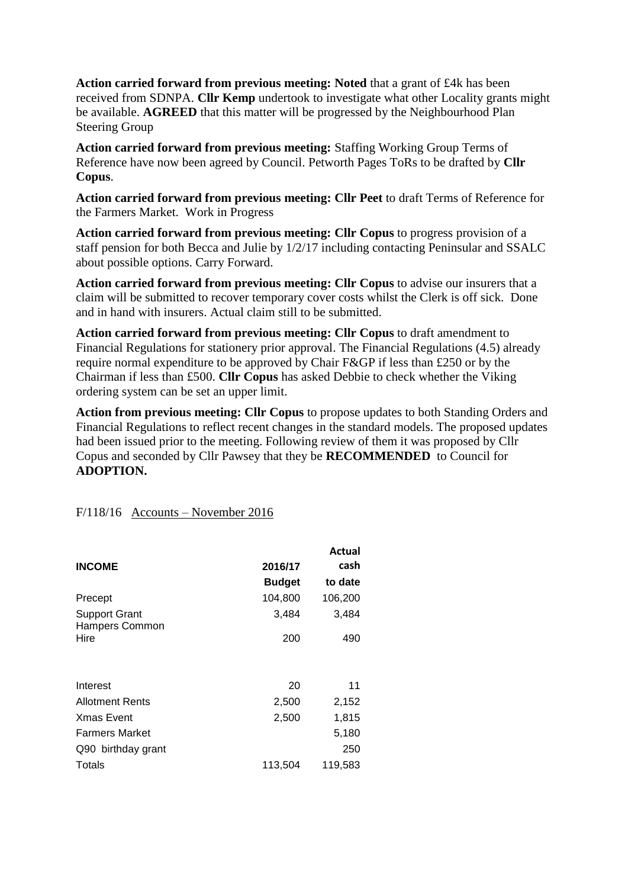**Action carried forward from previous meeting: Noted** that a grant of £4k has been received from SDNPA. **Cllr Kemp** undertook to investigate what other Locality grants might be available. **AGREED** that this matter will be progressed by the Neighbourhood Plan Steering Group

**Action carried forward from previous meeting:** Staffing Working Group Terms of Reference have now been agreed by Council. Petworth Pages ToRs to be drafted by **Cllr Copus**.

**Action carried forward from previous meeting: Cllr Peet** to draft Terms of Reference for the Farmers Market. Work in Progress

**Action carried forward from previous meeting: Cllr Copus** to progress provision of a staff pension for both Becca and Julie by 1/2/17 including contacting Peninsular and SSALC about possible options. Carry Forward.

**Action carried forward from previous meeting: Cllr Copus** to advise our insurers that a claim will be submitted to recover temporary cover costs whilst the Clerk is off sick. Done and in hand with insurers. Actual claim still to be submitted.

**Action carried forward from previous meeting: Cllr Copus** to draft amendment to Financial Regulations for stationery prior approval. The Financial Regulations (4.5) already require normal expenditure to be approved by Chair F&GP if less than £250 or by the Chairman if less than £500. **Cllr Copus** has asked Debbie to check whether the Viking ordering system can be set an upper limit.

**Action from previous meeting: Cllr Copus** to propose updates to both Standing Orders and Financial Regulations to reflect recent changes in the standard models. The proposed updates had been issued prior to the meeting. Following review of them it was proposed by Cllr Copus and seconded by Cllr Pawsey that they be **RECOMMENDED** to Council for **ADOPTION.**

F/118/16 Accounts – November 2016

|                                               |               | Actual  |
|-----------------------------------------------|---------------|---------|
| <b>INCOME</b>                                 | 2016/17       | cash    |
|                                               | <b>Budget</b> | to date |
| Precept                                       | 104,800       | 106,200 |
| <b>Support Grant</b><br><b>Hampers Common</b> | 3,484         | 3,484   |
| Hire                                          | 200           | 490     |
|                                               |               |         |
| Interest                                      | 20            | 11      |
| <b>Allotment Rents</b>                        | 2,500         | 2,152   |
| <b>Xmas Event</b>                             | 2,500         | 1,815   |
| <b>Farmers Market</b>                         |               | 5,180   |
| Q90 birthday grant                            |               | 250     |
| Totals                                        | 113,504       | 119,583 |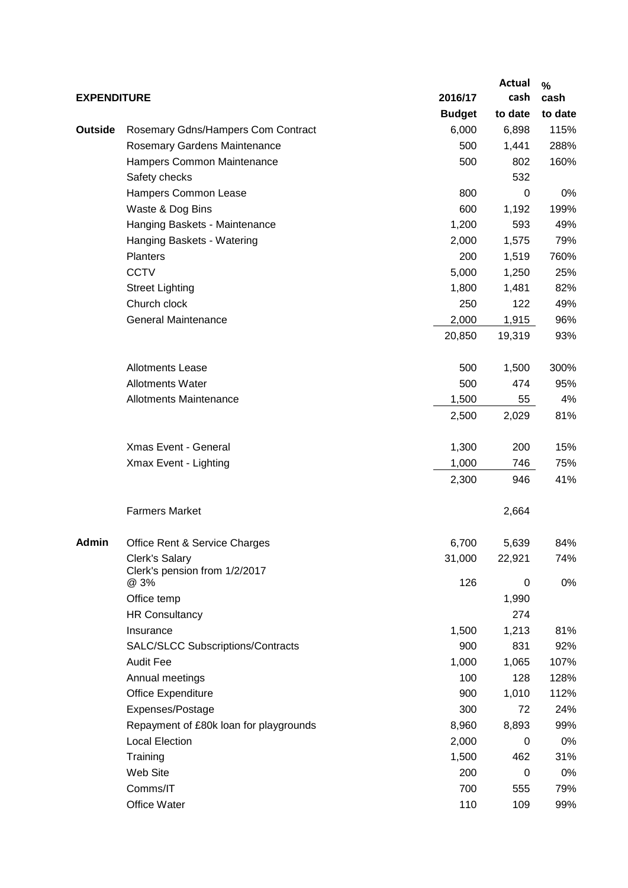|                    |                                                 |               | <b>Actual</b> | $\%$    |
|--------------------|-------------------------------------------------|---------------|---------------|---------|
| <b>EXPENDITURE</b> |                                                 | 2016/17       | cash          | cash    |
|                    |                                                 | <b>Budget</b> | to date       | to date |
| Outside            | Rosemary Gdns/Hampers Com Contract              | 6,000         | 6,898         | 115%    |
|                    | Rosemary Gardens Maintenance                    | 500           | 1,441         | 288%    |
|                    | Hampers Common Maintenance                      | 500           | 802           | 160%    |
|                    | Safety checks                                   |               | 532           |         |
|                    | Hampers Common Lease                            | 800           | 0             | 0%      |
|                    | Waste & Dog Bins                                | 600           | 1,192         | 199%    |
|                    | Hanging Baskets - Maintenance                   | 1,200         | 593           | 49%     |
|                    | Hanging Baskets - Watering                      | 2,000         | 1,575         | 79%     |
|                    | <b>Planters</b>                                 | 200           | 1,519         | 760%    |
|                    | <b>CCTV</b>                                     | 5,000         | 1,250         | 25%     |
|                    | <b>Street Lighting</b>                          | 1,800         | 1,481         | 82%     |
|                    | Church clock                                    | 250           | 122           | 49%     |
|                    | <b>General Maintenance</b>                      | 2,000         | 1,915         | 96%     |
|                    |                                                 | 20,850        | 19,319        | 93%     |
|                    |                                                 |               |               |         |
|                    | <b>Allotments Lease</b>                         | 500           | 1,500         | 300%    |
|                    | <b>Allotments Water</b>                         | 500           | 474           | 95%     |
|                    | <b>Allotments Maintenance</b>                   | 1,500         | 55            | 4%      |
|                    |                                                 | 2,500         | 2,029         | 81%     |
|                    |                                                 |               |               |         |
|                    | Xmas Event - General                            | 1,300         | 200           | 15%     |
|                    | Xmax Event - Lighting                           | 1,000         | 746           | 75%     |
|                    |                                                 | 2,300         | 946           | 41%     |
|                    |                                                 |               |               |         |
|                    | <b>Farmers Market</b>                           |               | 2,664         |         |
|                    |                                                 |               |               |         |
| <b>Admin</b>       | Office Rent & Service Charges                   | 6,700         | 5,639         | 84%     |
|                    | Clerk's Salary<br>Clerk's pension from 1/2/2017 | 31,000        | 22,921        | 74%     |
|                    | @ 3%                                            | 126           | 0             | 0%      |
|                    | Office temp                                     |               | 1,990         |         |
|                    | <b>HR Consultancy</b>                           |               | 274           |         |
|                    | Insurance                                       | 1,500         | 1,213         | 81%     |
|                    | SALC/SLCC Subscriptions/Contracts               | 900           | 831           | 92%     |
|                    | <b>Audit Fee</b>                                | 1,000         | 1,065         | 107%    |
|                    | Annual meetings                                 | 100           | 128           | 128%    |
|                    | Office Expenditure                              | 900           | 1,010         | 112%    |
|                    | Expenses/Postage                                | 300           | 72            | 24%     |
|                    | Repayment of £80k loan for playgrounds          | 8,960         | 8,893         | 99%     |
|                    | <b>Local Election</b>                           | 2,000         | 0             | 0%      |
|                    | Training                                        | 1,500         | 462           | 31%     |
|                    | Web Site                                        | 200           | 0             | 0%      |
|                    | Comms/IT                                        | 700           | 555           | 79%     |
|                    | Office Water                                    | 110           | 109           | 99%     |
|                    |                                                 |               |               |         |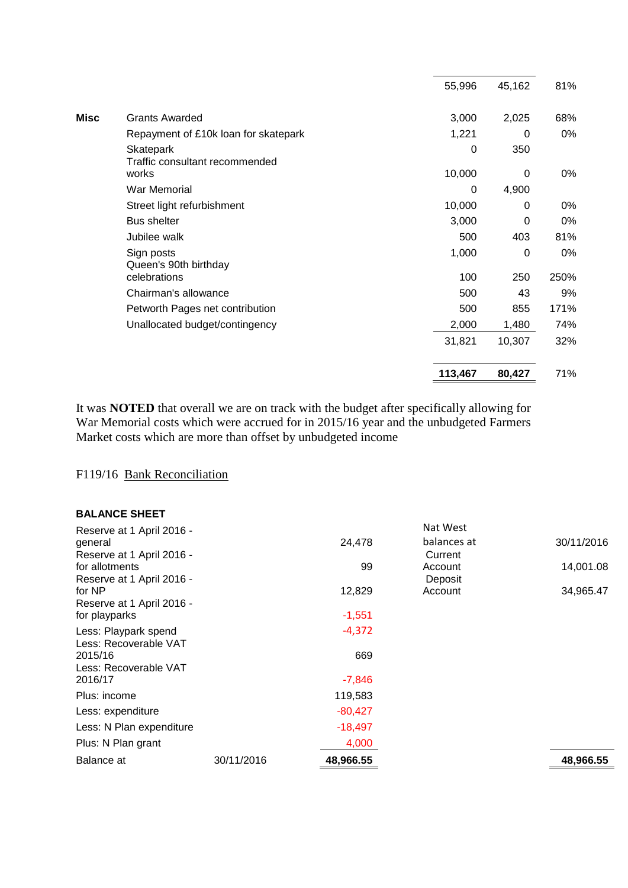|         |                  | 81%    |
|---------|------------------|--------|
| 3,000   | 2,025            | 68%    |
| 1,221   | 0                | 0%     |
| 0       | 350              |        |
|         | 0                | 0%     |
| 0       | 4,900            |        |
| 10,000  | 0                | 0%     |
| 3,000   | 0                | 0%     |
| 500     | 403              | 81%    |
| 1,000   | 0                | 0%     |
| 100     | 250              | 250%   |
| 500     | 43               | 9%     |
| 500     | 855              | 171%   |
| 2,000   | 1,480            | 74%    |
| 31,821  | 10,307           | 32%    |
| 113,467 | 80,427           | 71%    |
|         | 55,996<br>10,000 | 45,162 |

It was **NOTED** that overall we are on track with the budget after specifically allowing for War Memorial costs which were accrued for in 2015/16 year and the unbudgeted Farmers Market costs which are more than offset by unbudgeted income

## F119/16 Bank Reconciliation

#### **BALANCE SHEET**

| Reserve at 1 April 2016 - |            |           | Nat West    |            |
|---------------------------|------------|-----------|-------------|------------|
| general                   |            | 24,478    | balances at | 30/11/2016 |
| Reserve at 1 April 2016 - |            |           | Current     |            |
| for allotments            |            | 99        | Account     | 14,001.08  |
| Reserve at 1 April 2016 - |            |           | Deposit     |            |
| for NP                    |            | 12,829    | Account     | 34,965.47  |
| Reserve at 1 April 2016 - |            |           |             |            |
| for playparks             |            | $-1,551$  |             |            |
| Less: Playpark spend      |            | $-4,372$  |             |            |
| Less: Recoverable VAT     |            |           |             |            |
| 2015/16                   |            | 669       |             |            |
| Less: Recoverable VAT     |            |           |             |            |
| 2016/17                   |            | -7,846    |             |            |
| Plus: income              |            | 119,583   |             |            |
| Less: expenditure         |            | $-80,427$ |             |            |
| Less: N Plan expenditure  |            | $-18,497$ |             |            |
| Plus: N Plan grant        |            | 4,000     |             |            |
| Balance at                | 30/11/2016 | 48,966.55 |             | 48,966.55  |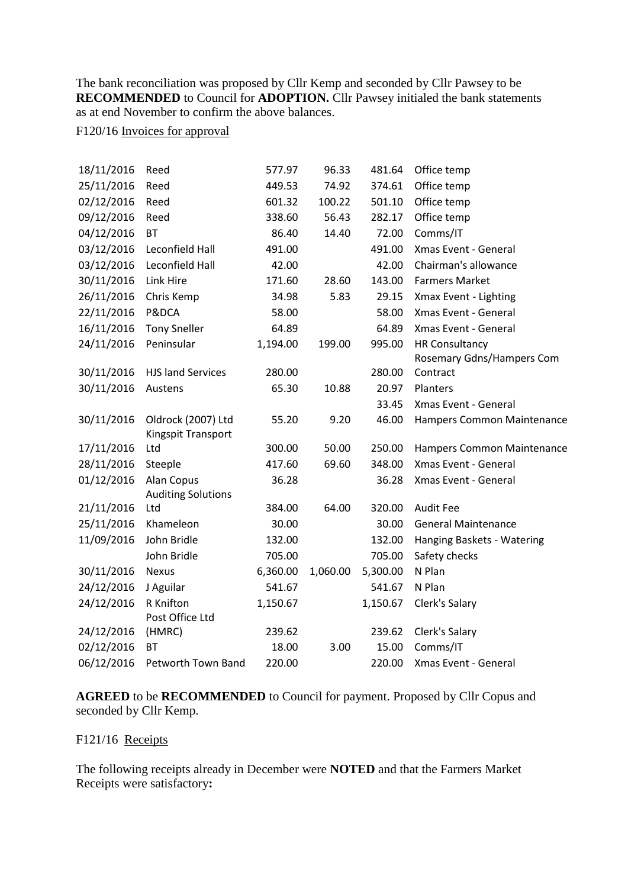The bank reconciliation was proposed by Cllr Kemp and seconded by Cllr Pawsey to be **RECOMMENDED** to Council for **ADOPTION.** Cllr Pawsey initialed the bank statements as at end November to confirm the above balances.

## F120/16 Invoices for approval

| 18/11/2016 | Reed                      | 577.97   | 96.33    | 481.64   | Office temp                       |
|------------|---------------------------|----------|----------|----------|-----------------------------------|
| 25/11/2016 | Reed                      | 449.53   | 74.92    | 374.61   | Office temp                       |
| 02/12/2016 | Reed                      | 601.32   | 100.22   | 501.10   | Office temp                       |
| 09/12/2016 | Reed                      | 338.60   | 56.43    | 282.17   | Office temp                       |
| 04/12/2016 | <b>BT</b>                 | 86.40    | 14.40    | 72.00    | Comms/IT                          |
| 03/12/2016 | Leconfield Hall           | 491.00   |          | 491.00   | Xmas Event - General              |
| 03/12/2016 | Leconfield Hall           | 42.00    |          | 42.00    | Chairman's allowance              |
| 30/11/2016 | Link Hire                 | 171.60   | 28.60    | 143.00   | <b>Farmers Market</b>             |
| 26/11/2016 | Chris Kemp                | 34.98    | 5.83     | 29.15    | Xmax Event - Lighting             |
| 22/11/2016 | P&DCA                     | 58.00    |          | 58.00    | Xmas Event - General              |
| 16/11/2016 | <b>Tony Sneller</b>       | 64.89    |          | 64.89    | Xmas Event - General              |
| 24/11/2016 | Peninsular                | 1,194.00 | 199.00   | 995.00   | <b>HR Consultancy</b>             |
|            |                           |          |          |          | Rosemary Gdns/Hampers Com         |
| 30/11/2016 | <b>HJS land Services</b>  | 280.00   |          | 280.00   | Contract                          |
| 30/11/2016 | Austens                   | 65.30    | 10.88    | 20.97    | Planters                          |
|            |                           |          |          | 33.45    | Xmas Event - General              |
| 30/11/2016 | Oldrock (2007) Ltd        | 55.20    | 9.20     | 46.00    | <b>Hampers Common Maintenance</b> |
|            | Kingspit Transport        |          |          |          |                                   |
| 17/11/2016 | Ltd                       | 300.00   | 50.00    | 250.00   | Hampers Common Maintenance        |
| 28/11/2016 | Steeple                   | 417.60   | 69.60    | 348.00   | Xmas Event - General              |
| 01/12/2016 | Alan Copus                | 36.28    |          | 36.28    | Xmas Event - General              |
|            | <b>Auditing Solutions</b> |          |          |          |                                   |
| 21/11/2016 | Ltd                       | 384.00   | 64.00    | 320.00   | <b>Audit Fee</b>                  |
| 25/11/2016 | Khameleon                 | 30.00    |          | 30.00    | <b>General Maintenance</b>        |
| 11/09/2016 | John Bridle               | 132.00   |          | 132.00   | Hanging Baskets - Watering        |
|            | John Bridle               | 705.00   |          | 705.00   | Safety checks                     |
| 30/11/2016 | <b>Nexus</b>              | 6,360.00 | 1,060.00 | 5,300.00 | N Plan                            |
| 24/12/2016 | J Aguilar                 | 541.67   |          | 541.67   | N Plan                            |
| 24/12/2016 | R Knifton                 | 1,150.67 |          | 1,150.67 | Clerk's Salary                    |
|            | Post Office Ltd           |          |          |          |                                   |
| 24/12/2016 | (HMRC)                    | 239.62   |          | 239.62   | Clerk's Salary                    |
| 02/12/2016 | <b>BT</b>                 | 18.00    | 3.00     | 15.00    | Comms/IT                          |
| 06/12/2016 | Petworth Town Band        | 220.00   |          | 220.00   | Xmas Event - General              |

**AGREED** to be **RECOMMENDED** to Council for payment. Proposed by Cllr Copus and seconded by Cllr Kemp.

## F121/16 Receipts

The following receipts already in December were **NOTED** and that the Farmers Market Receipts were satisfactory**:**